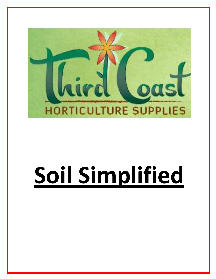

# **Soil Simplified**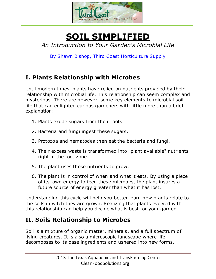

## **SOIL SIMPLIFIED** *An Introduction to Your Garden's Microbial Life*

[By Shawn Bishop, Third Coast Horticulture Supply](http://www.thirdcoasthorticulture.com/)

## **I. Plants Relationship with Microbes**

Until modern times, plants have relied on nutrients provided by their relationship with microbial life. This relationship can seem complex and mysterious. There are however, some key elements to microbial soil life that can enlighten curious gardeners with little more than a brief explanation:

- 1. Plants exude sugars from their roots.
- 2. Bacteria and fungi ingest these sugars.
- 3. Protozoa and nematodes then eat the bacteria and fungi.
- 4. Their excess waste is transformed into "plant available" nutrients right in the root zone.
- 5. The plant uses these nutrients to grow.
- 6. The plant is in control of when and what it eats. By using a piece of its' own energy to feed these microbes, the plant insures a future source of energy greater than what it has lost.

Understanding this cycle will help you better learn how plants relate to the soils in witch they are grown. Realizing that plants evolved with this relationship can help you decide what is best for your garden.

## **II. Soils Relationship to Microbes**

Soil is a mixture of organic matter, minerals, and a full spectrum of living creatures. It is also a microscopic landscape where life decomposes to its base ingredients and ushered into new forms.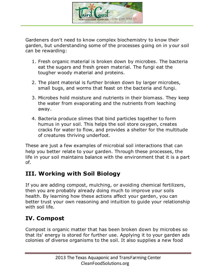

Gardeners don't need to know complex biochemistry to know their garden, but understanding some of the processes going on in your soil can be rewarding:

- 1. Fresh organic material is broken down by microbes. The bacteria eat the sugars and fresh green material. The fungi eat the tougher woody material and proteins.
- 2. The plant material is further broken down by larger microbes, small bugs, and worms that feast on the bacteria and fungi.
- 3. Microbes hold moisture and nutrients in their biomass. They keep the water from evaporating and the nutrients from leaching away.
- 4. Bacteria produce slimes that bind particles together to form humus in your soil. This helps the soil store oxygen, creates cracks for water to flow, and provides a shelter for the multitude of creatures thriving underfoot.

These are just a few examples of microbial soil interactions that can help you better relate to your garden. Through these processes, the life in your soil maintains balance with the environment that it is a part of.

#### **III. Working with Soil Biology**

If you are adding compost, mulching, or avoiding chemical fertilizers, then you are probably already doing much to improve your soils health. By learning how these actions affect your garden, you can better trust your own reasoning and intuition to guide your relationship with soil life.

#### **IV. Compost**

Compost is organic matter that has been broken down by microbes so that its' energy is stored for further use. Applying it to your garden ads colonies of diverse organisms to the soil. It also supplies a new food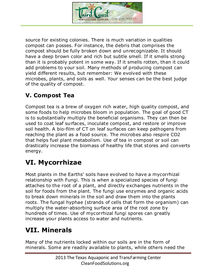

source for existing colonies. There is much variation in qualities compost can posses. For instance, the debris that comprises the compost should be fully broken down and unrecognizable. It should have a deep brown color and rich but subtle smell. If it smells strong than it is probably potent in some way. If it smells rotten, than it could add problems to your soil. Many methods of producing compost can yield different results, but remember: We evolved with these microbes, plants, and soils as well. Your senses can be the best judge of the quality of compost.

## **V. Compost Tea**

Compost tea is a brew of oxygen rich water, high quality compost, and some foods to help microbes bloom in population. The goal of good CT is to substantially multiply the beneficial organisms. They can then be used to coat leaf surfaces, inoculate compost, and restore or improve soil health. A bio-film of CT on leaf surfaces can keep pathogens from reaching the plant as a food source. The microbes also respire CO2 that helps fuel plant metabolism. Use of tea in compost or soil can drastically increase the biomass of healthy life that stores and converts energy.

## **VI. Mycorrhizae**

Most plants in the Earths' soils have evolved to have a mycorrhizal relationship with Fungi. This is when a specialized species of fungi attaches to the root of a plant, and directly exchanges nutrients in the soil for foods from the plant. The fungi use enzymes and organic acids to break down minerals in the soil and draw them into the plants roots. The fungal hyphae (strands of cells that form the organism) can multiply the water-absorbing surface area of the root zone by hundreds of times. Use of mycorrhizal fungi spores can greatly increase your plants access to water and nutrients.

## **VII. Minerals**

Many of the nutrients locked within our soils are in the form of minerals. Some are readily available to plants, while others need the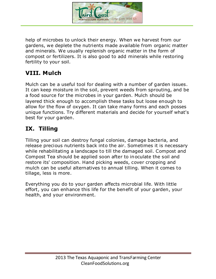

help of microbes to unlock their energy. When we harvest from our gardens, we deplete the nutrients made available from organic matter and minerals. We usually replenish organic matter in the form of compost or fertilizers. It is also good to add minerals while restoring fertility to your soil.

#### **VIII. Mulch**

Mulch can be a useful tool for dealing with a number of garden issues. It can keep moisture in the soil, prevent weeds from sprouting, and be a food source for the microbes in your garden. Mulch should be layered thick enough to accomplish these tasks but loose enough to allow for the flow of oxygen. It can take many forms and each posses unique functions. Try different materials and decide for yourself what's best for your garden.

#### **IX. Tilling**

Tilling your soil can destroy fungal colonies, damage bacteria, and release precious nutrients back into the air. Sometimes it is necessary while rehabilitating a landscape to till the damaged soil. Compost and Compost Tea should be applied soon after to inoculate the soil and restore its' composition. Hand picking weeds, cover cropping and mulch can be useful alternatives to annual tilling. When it comes to tillage, less is more.

Everything you do to your garden affects microbial life. With little effort, you can enhance this life for the benefit of your garden, your health, and your environment.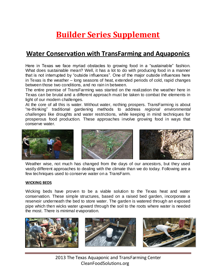## **Builder Series Supplement**

## **Water Conservation with TransFarming and Aquaponics**

Here in Texas we face myriad obstacles to growing food in a "sustainable" fashion. What does sustainable mean? Well, it has a lot to do with producing food in a manner that is not interrupted by "outside influences". One of the major outside influences here in Texas is the weather – long seasons of heat, extended periods of cold, rapid changes between those two conditions, and no rain in between.

The entire premise of TransFarming was started on the realization the weather here in Texas can be brutal and a different approach must be taken to combat the elements in light of our modern challenges.

At the core of all this is water. Without water, nothing prospers. TransFarming is about "re-thinking" traditional gardening methods to address *regional environmental challenges* like droughts and water restrictions, while keeping in mind techniques for prosperous food production*.* These approaches involve growing food in ways that conserve water.







Weather wise, not much has changed from the days of our ancestors, but they used vastly different approaches to dealing with the climate than we do today. Following are a few techniques used to conserve water on a TransFarm.

#### **WICKING BEDS**

Wicking beds have proven to be a viable solution to the Texas heat and water conservation. These simple structures, based on a raised bed garden, incorporate a reservoir underneath the bed to store water. The garden is watered through an exposed pipe which then wicks water upward through the soil to the roots where water is needed the most. There is minimal evaporation.







 2013 The Texas Aquaponic and TransFarming Center CleanFoodSolutions.org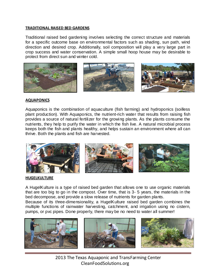#### **TRADITIONAL RAISED BED GARDENS**

Traditional raised bed gardening involves selecting the correct structure and materials for a specific outcome base on environmental factors such as shading, sun path, wind direction and desired crop. Additionally, soil composition will play a very large part in crop success and water conservation. A simple small hoop house may be desirable to protect from direct sun and winter cold.



#### **AQUAPONICS**

Aquaponics is the combination of aquaculture (fish farming) and hydroponics (soilless plant production). With Aquaponics, the nutrient-rich water that results from raising fish provides a source of natural fertilizer for the growing plants. As the plants consume the nutrients, they help to purify the water in which the fish live. A natural microbial process keeps both the fish and plants healthy, and helps sustain an environment where all can thrive. Both the plants and fish are harvested.



#### **HUGELKULTURE**

A HugelKulture is a type of raised bed garden that allows one to use organic materials that are too big to go in the compost. Over time, that is 3- 5 years, the materials in the bed decompose, and provide a slow release of nutrients for garden plants.

Because of its three-dimensionality, a HugelKulture raised bed garden combines the multiple functions of rainwater harvesting, catchment, and irrigation using no cistern, pumps, or pvc pipes. Done properly, there may be no need to water all summer!







 2013 The Texas Aquaponic and TransFarming Center CleanFoodSolutions.org